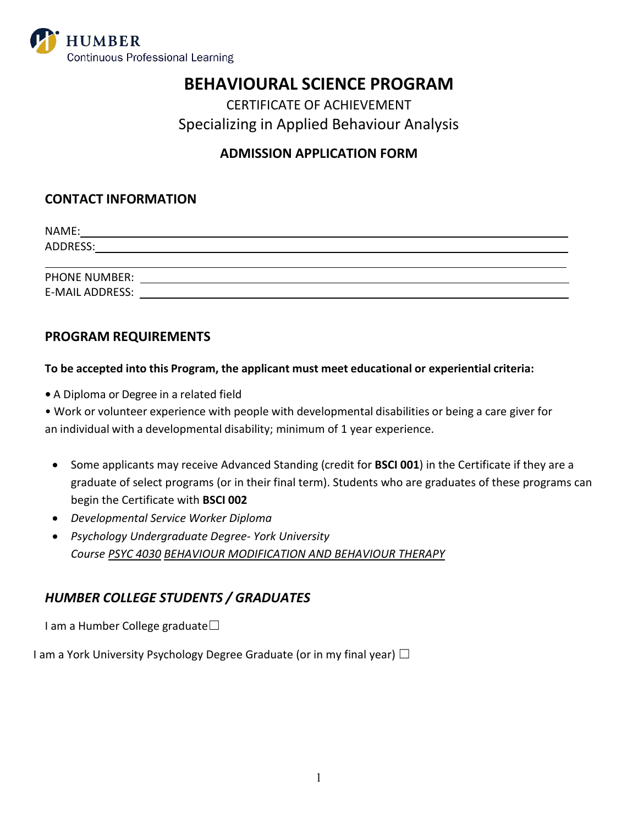

# **BEHAVIOURAL SCIENCE PROGRAM**

 Specializing in Applied Behaviour Analysis CERTIFICATE OF ACHIEVEMENT

## **ADMISSION APPLICATION FORM**

### **CONTACT INFORMATION**

| NAME:                |  |
|----------------------|--|
| ADDRESS:             |  |
|                      |  |
| <b>PHONE NUMBER:</b> |  |
| E-MAIL ADDRESS:      |  |

## **PROGRAM REQUIREMENTS**

#### **To be accepted into this Program, the applicant must meet educational or experiential criteria:**

**•** A Diploma or Degree in a related field

 • Work or volunteer experience with people with developmental disabilities or being a care giver for an individual with a developmental disability; minimum of 1 year experience.

- Some applicants may receive Advanced Standing (credit for **BSCI 001**) in the Certificate if they are a graduate of select programs (or in their final term). Students who are graduates of these programs can begin the Certificate with **BSCI 002**
- *Developmental Service Worker Diploma*
- *Psychology Undergraduate Degree- York University Course PSYC 4030 BEHAVIOUR MODIFICATION AND BEHAVIOUR THERAPY*

# *HUMBER COLLEGE STUDENTS / GRADUATES*

I am a Humber College graduate□

I am a York University Psychology Degree Graduate (or in my final year)  $\Box$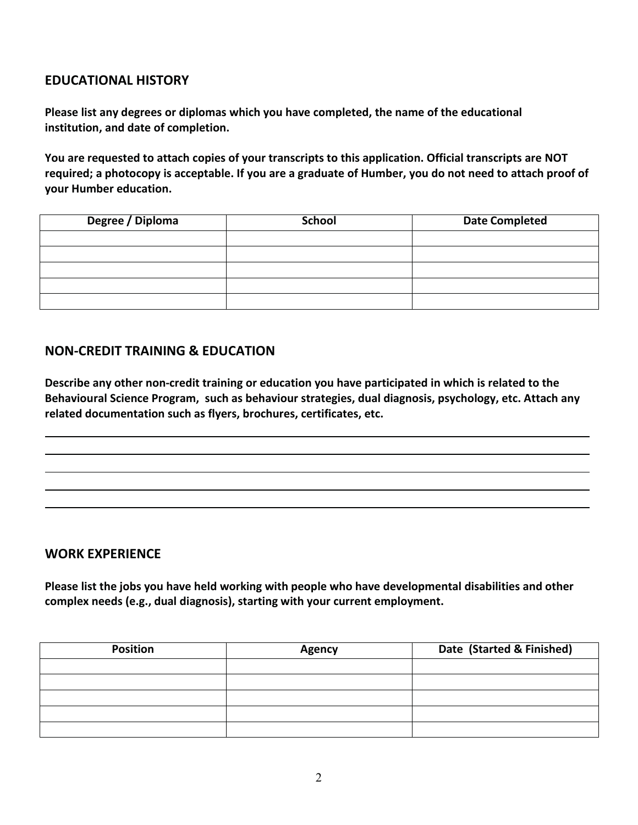### **EDUCATIONAL HISTORY**

**Please list any degrees or diplomas which you have completed, the name of the educational institution, and date of completion.** 

 **You are requested to attach copies of your transcripts to this application. Official transcripts are NOT required; a photocopy is acceptable. If you are a graduate of Humber, you do not need to attach proof of your Humber education.** 

| Degree / Diploma | <b>School</b> | <b>Date Completed</b> |
|------------------|---------------|-----------------------|
|                  |               |                       |
|                  |               |                       |
|                  |               |                       |
|                  |               |                       |
|                  |               |                       |

### **NON-CREDIT TRAINING & EDUCATION**

 **related documentation such as flyers, brochures, certificates, etc. Describe any other non-credit training or education you have participated in which is related to the Behavioural Science Program, such as behaviour strategies, dual diagnosis, psychology, etc. Attach any** 

#### **WORK EXPERIENCE**

 **Please list the jobs you have held working with people who have developmental disabilities and other complex needs (e.g., dual diagnosis), starting with your current employment.** 

| <b>Position</b> | Agency | Date (Started & Finished) |
|-----------------|--------|---------------------------|
|                 |        |                           |
|                 |        |                           |
|                 |        |                           |
|                 |        |                           |
|                 |        |                           |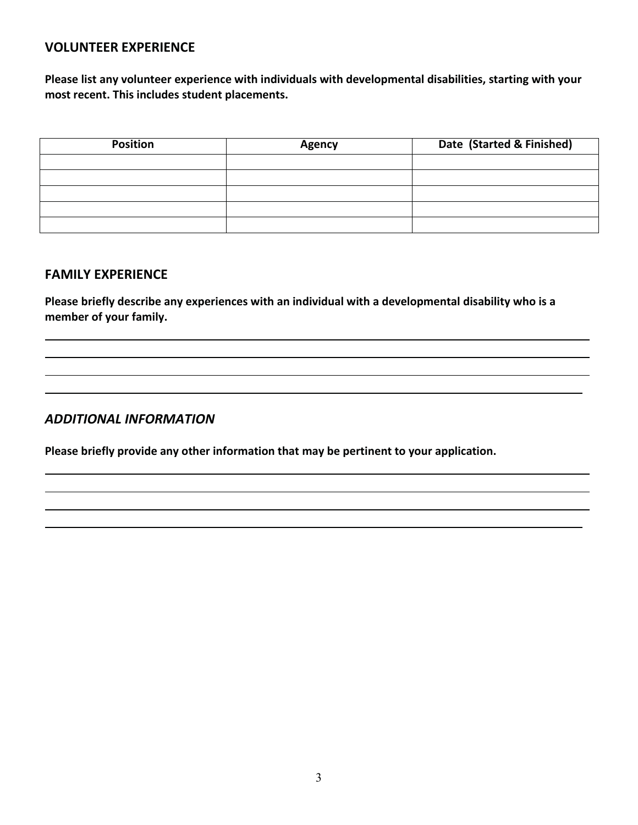### **VOLUNTEER EXPERIENCE**

 **most recent. This includes student placements. Please list any volunteer experience with individuals with developmental disabilities, starting with your** 

| <b>Position</b> | Agency | Date (Started & Finished) |
|-----------------|--------|---------------------------|
|                 |        |                           |
|                 |        |                           |
|                 |        |                           |
|                 |        |                           |
|                 |        |                           |

#### **FAMILY EXPERIENCE**

 **Please briefly describe any experiences with an individual with a developmental disability who is a member of your family.** 

### *ADDITIONAL INFORMATION*

 **Please briefly provide any other information that may be pertinent to your application.**